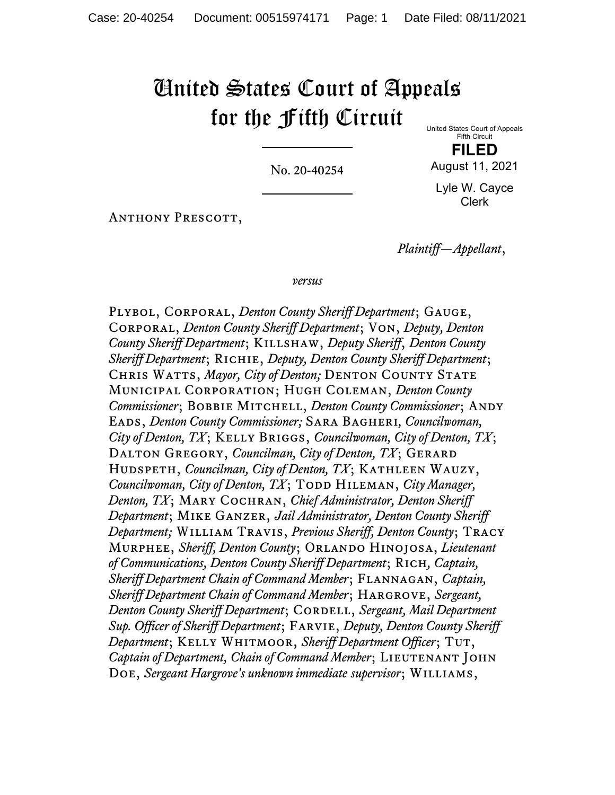## United States Court of Appeals for the Fifth Circuit United States Court of Appeals

No. 20-40254

Fifth Circuit **FILED** August 11, 2021

Lyle W. Cayce Clerk

Anthony Prescott,

*Plaintiff—Appellant*,

*versus*

Plybol, Corporal, *Denton County Sheriff Department*; Gauge, Corporal, *Denton County Sheriff Department*; Von, *Deputy, Denton County Sheriff Department*; Killshaw, *Deputy Sheriff*, *Denton County Sheriff Department*; Richie, *Deputy, Denton County Sheriff Department*; Chris Watts, *Mayor, City of Denton;* Denton County State Municipal Corporation; Hugh Coleman, *Denton County Commissioner*; BOBBIE MITCHELL, *Denton County Commissioner*; ANDY Eads, *Denton County Commissioner;* Sara Bagheri*, Councilwoman, City of Denton, TX*; Kelly Briggs, *Councilwoman, City of Denton, TX*; DALTON GREGORY, *Councilman, City of Denton, TX*; GERARD HUDSPETH, *Councilman, City of Denton, TX*; KATHLEEN WAUZY, *Councilwoman, City of Denton, TX*; TODD HILEMAN, *City Manager*, *Denton, TX*; Mary Cochran, *Chief Administrator, Denton Sheriff Department*; Mike Ganzer, *Jail Administrator, Denton County Sheriff Department;* William Travis, *Previous Sheriff, Denton County*; Tracy Murphee, *Sheriff, Denton County*; Orlando Hinojosa, *Lieutenant of Communications, Denton County Sheriff Department*; Rich*, Captain, Sheriff Department Chain of Command Member*; Flannagan, *Captain, Sheriff Department Chain of Command Member*; Hargrove, *Sergeant, Denton County Sheriff Department*; CORDELL, *Sergeant, Mail Department Sup. Officer of Sheriff Department*; Farvie, *Deputy, Denton County Sheriff Department*; Kelly Whitmoor, *Sheriff Department Officer*; Tut, *Captain of Department, Chain of Command Member*; LIEUTENANT JOHN Doe, *Sergeant Hargrove's unknown immediate supervisor*; Williams,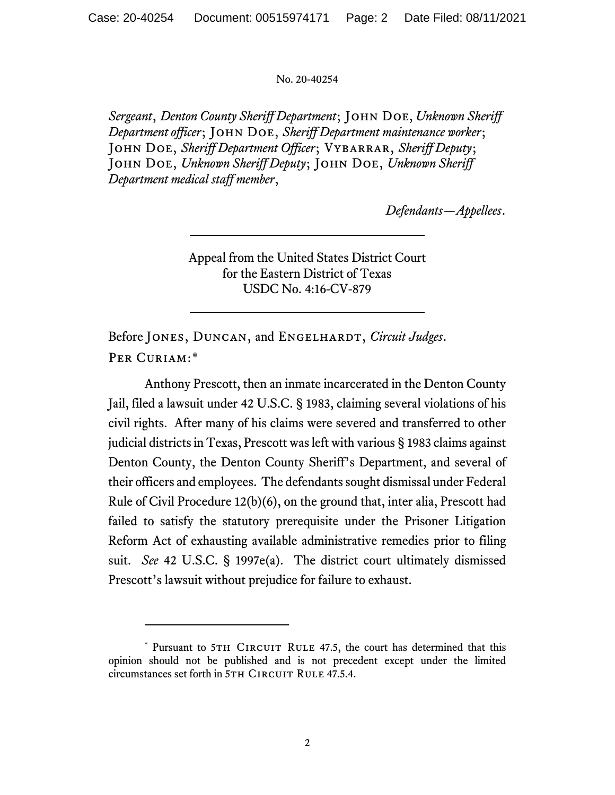## No. 20-40254

*Sergeant*, *Denton County Sheriff Department*; John Doe, *Unknown Sheriff Department officer*; John Doe, *Sheriff Department maintenance worker*; JOHN DOE, *Sheriff Department Officer*; VYBARRAR, *Sheriff Deputy*; John Doe, *Unknown Sheriff Deputy*; John Doe, *Unknown Sheriff Department medical staff member*,

*Defendants—Appellees*.

Appeal from the United States District Court for the Eastern District of Texas USDC No. 4:16-CV-879

Before JONES, DUNCAN, and ENGELHARDT, *Circuit Judges*. Per Curiam:[\\*](#page-1-0)

Anthony Prescott, then an inmate incarcerated in the Denton County Jail, filed a lawsuit under 42 U.S.C. § 1983, claiming several violations of his civil rights. After many of his claims were severed and transferred to other judicial districts in Texas, Prescott was left with various § 1983 claims against Denton County, the Denton County Sheriff's Department, and several of their officers and employees. The defendants sought dismissal under Federal Rule of Civil Procedure 12(b)(6), on the ground that, inter alia, Prescott had failed to satisfy the statutory prerequisite under the Prisoner Litigation Reform Act of exhausting available administrative remedies prior to filing suit. *See* 42 U.S.C. § 1997e(a). The district court ultimately dismissed Prescott's lawsuit without prejudice for failure to exhaust.

<span id="page-1-0"></span><sup>\*</sup> Pursuant to 5TH CIRCUIT RULE 47.5, the court has determined that this opinion should not be published and is not precedent except under the limited circumstances set forth in 5TH CIRCUIT RULE 47.5.4.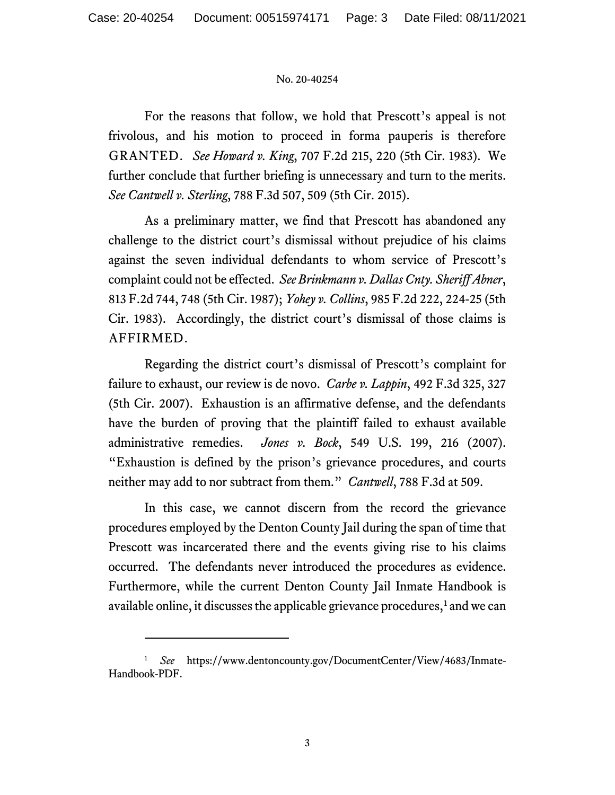## No. 20-40254

For the reasons that follow, we hold that Prescott's appeal is not frivolous, and his motion to proceed in forma pauperis is therefore GRANTED. *See Howard v. King*, 707 F.2d 215, 220 (5th Cir. 1983). We further conclude that further briefing is unnecessary and turn to the merits. *See Cantwell v. Sterling*, 788 F.3d 507, 509 (5th Cir. 2015).

As a preliminary matter, we find that Prescott has abandoned any challenge to the district court's dismissal without prejudice of his claims against the seven individual defendants to whom service of Prescott's complaint could not be effected. *See Brinkmann v. Dallas Cnty. Sheriff Abner*, 813 F.2d 744, 748 (5th Cir. 1987); *Yohey v. Collins*, 985 F.2d 222, 224-25 (5th Cir. 1983). Accordingly, the district court's dismissal of those claims is AFFIRMED.

Regarding the district court's dismissal of Prescott's complaint for failure to exhaust, our review is de novo. *Carbe v. Lappin*, 492 F.3d 325, 327 (5th Cir. 2007). Exhaustion is an affirmative defense, and the defendants have the burden of proving that the plaintiff failed to exhaust available administrative remedies. *Jones v. Bock*, 549 U.S. 199, 216 (2007). "Exhaustion is defined by the prison's grievance procedures, and courts neither may add to nor subtract from them." *Cantwell*, 788 F.3d at 509.

In this case, we cannot discern from the record the grievance procedures employed by the Denton County Jail during the span of time that Prescott was incarcerated there and the events giving rise to his claims occurred. The defendants never introduced the procedures as evidence. Furthermore, while the current Denton County Jail Inmate Handbook is available online, it discusses the applicable grievance procedures, $<sup>1</sup>$  $<sup>1</sup>$  $<sup>1</sup>$  and we can</sup>

<span id="page-2-0"></span><sup>1</sup> *See* https://www.dentoncounty.gov/DocumentCenter/View/4683/Inmate-Handbook-PDF.